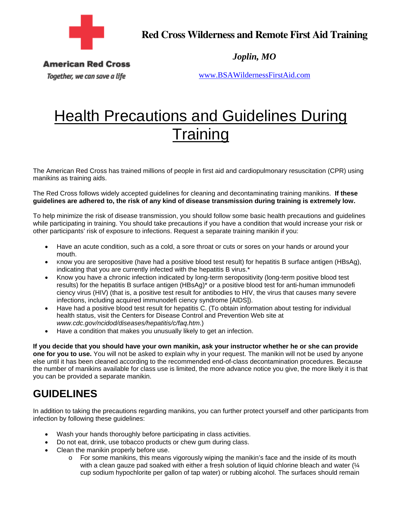

**Red Cross Wilderness and Remote First Aid Training** 

*Joplin, MO* 

**American Red Cross** 

Together, we can save a life

www.BSAWildernessFirstAid.com

## **Health Precautions and Guidelines During Training**

The American Red Cross has trained millions of people in first aid and cardiopulmonary resuscitation (CPR) using manikins as training aids.

The Red Cross follows widely accepted guidelines for cleaning and decontaminating training manikins. **If these guidelines are adhered to, the risk of any kind of disease transmission during training is extremely low.** 

To help minimize the risk of disease transmission, you should follow some basic health precautions and guidelines while participating in training. You should take precautions if you have a condition that would increase your risk or other participants' risk of exposure to infections. Request a separate training manikin if you:

- Have an acute condition, such as a cold, a sore throat or cuts or sores on your hands or around your mouth.
- Know you are seropositive (have had a positive blood test result) for hepatitis B surface antigen (HBsAg), indicating that you are currently infected with the hepatitis B virus.\*
- Know you have a chronic infection indicated by long-term seropositivity (long-term positive blood test results) for the hepatitis B surface antigen (HBsAg)\* or a positive blood test for anti-human immunodefi ciency virus (HIV) (that is, a positive test result for antibodies to HIV, the virus that causes many severe infections, including acquired immunodefi ciency syndrome [AIDS]).
- Have had a positive blood test result for hepatitis C. (To obtain information about testing for individual health status, visit the Centers for Disease Control and Prevention Web site at *www.cdc.gov/ncidod/diseases/hepatitis/c/faq.htm*.)
- Have a condition that makes you unusually likely to get an infection.

**If you decide that you should have your own manikin, ask your instructor whether he or she can provide one for you to use.** You will not be asked to explain why in your request. The manikin will not be used by anyone else until it has been cleaned according to the recommended end-of-class decontamination procedures. Because the number of manikins available for class use is limited, the more advance notice you give, the more likely it is that you can be provided a separate manikin.

## **GUIDELINES**

In addition to taking the precautions regarding manikins, you can further protect yourself and other participants from infection by following these guidelines:

- Wash your hands thoroughly before participating in class activities.
- Do not eat, drink, use tobacco products or chew gum during class.
- Clean the manikin properly before use.
	- o For some manikins, this means vigorously wiping the manikin's face and the inside of its mouth with a clean gauze pad soaked with either a fresh solution of liquid chlorine bleach and water ( $\frac{1}{4}$ ) cup sodium hypochlorite per gallon of tap water) or rubbing alcohol. The surfaces should remain